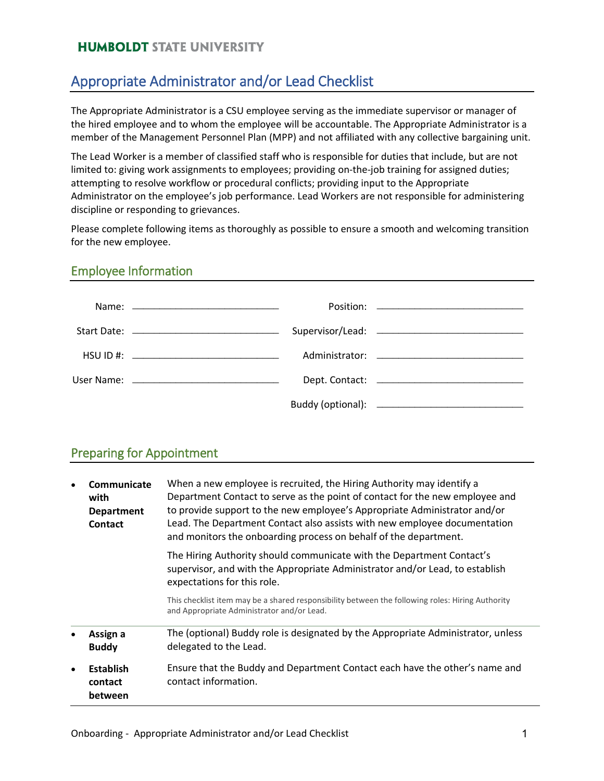# Appropriate Administrator and/or Lead Checklist

The Appropriate Administrator is a CSU employee serving as the immediate supervisor or manager of the hired employee and to whom the employee will be accountable. The Appropriate Administrator is a member of the Management Personnel Plan (MPP) and not affiliated with any collective bargaining unit.

The Lead Worker is a member of classified staff who is responsible for duties that include, but are not limited to: giving work assignments to employees; providing on-the-job training for assigned duties; attempting to resolve workflow or procedural conflicts; providing input to the Appropriate Administrator on the employee's job performance. Lead Workers are not responsible for administering discipline or responding to grievances.

Please complete following items as thoroughly as possible to ensure a smooth and welcoming transition for the new employee.

#### Employee Information

|  | HSU ID  #: |  |
|--|------------|--|
|  |            |  |
|  |            |  |

#### Preparing for Appointment

| Communicate<br>$\bullet$<br>with<br><b>Department</b><br>Contact |                                        | When a new employee is recruited, the Hiring Authority may identify a<br>Department Contact to serve as the point of contact for the new employee and<br>to provide support to the new employee's Appropriate Administrator and/or<br>Lead. The Department Contact also assists with new employee documentation<br>and monitors the onboarding process on behalf of the department. |
|------------------------------------------------------------------|----------------------------------------|-------------------------------------------------------------------------------------------------------------------------------------------------------------------------------------------------------------------------------------------------------------------------------------------------------------------------------------------------------------------------------------|
|                                                                  |                                        | The Hiring Authority should communicate with the Department Contact's<br>supervisor, and with the Appropriate Administrator and/or Lead, to establish<br>expectations for this role.                                                                                                                                                                                                |
|                                                                  |                                        | This checklist item may be a shared responsibility between the following roles: Hiring Authority<br>and Appropriate Administrator and/or Lead.                                                                                                                                                                                                                                      |
| $\bullet$                                                        | Assign a<br><b>Buddy</b>               | The (optional) Buddy role is designated by the Appropriate Administrator, unless<br>delegated to the Lead.                                                                                                                                                                                                                                                                          |
| $\bullet$                                                        | <b>Establish</b><br>contact<br>between | Ensure that the Buddy and Department Contact each have the other's name and<br>contact information.                                                                                                                                                                                                                                                                                 |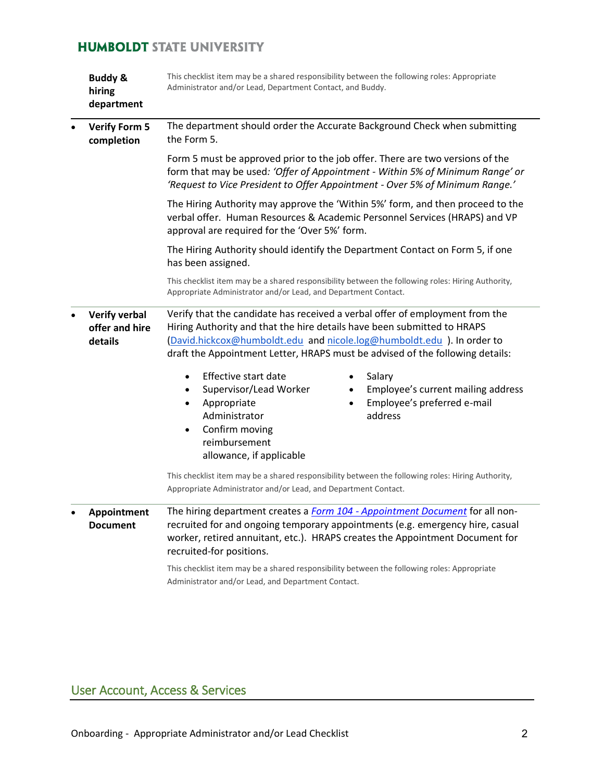| <b>Buddy &amp;</b><br>hiring<br>department        | This checklist item may be a shared responsibility between the following roles: Appropriate<br>Administrator and/or Lead, Department Contact, and Buddy.                                                                                                                                                          |  |
|---------------------------------------------------|-------------------------------------------------------------------------------------------------------------------------------------------------------------------------------------------------------------------------------------------------------------------------------------------------------------------|--|
| <b>Verify Form 5</b><br>completion                | The department should order the Accurate Background Check when submitting<br>the Form 5.                                                                                                                                                                                                                          |  |
|                                                   | Form 5 must be approved prior to the job offer. There are two versions of the<br>form that may be used: 'Offer of Appointment - Within 5% of Minimum Range' or<br>'Request to Vice President to Offer Appointment - Over 5% of Minimum Range.'                                                                    |  |
|                                                   | The Hiring Authority may approve the 'Within 5%' form, and then proceed to the<br>verbal offer. Human Resources & Academic Personnel Services (HRAPS) and VP<br>approval are required for the 'Over 5%' form.                                                                                                     |  |
|                                                   | The Hiring Authority should identify the Department Contact on Form 5, if one<br>has been assigned.                                                                                                                                                                                                               |  |
|                                                   | This checklist item may be a shared responsibility between the following roles: Hiring Authority,<br>Appropriate Administrator and/or Lead, and Department Contact.                                                                                                                                               |  |
| <b>Verify verbal</b><br>offer and hire<br>details | Verify that the candidate has received a verbal offer of employment from the<br>Hiring Authority and that the hire details have been submitted to HRAPS<br>(David.hickcox@humboldt.edu and nicole.log@humboldt.edu). In order to<br>draft the Appointment Letter, HRAPS must be advised of the following details: |  |
|                                                   | <b>Effective start date</b><br>Salary<br>Employee's current mailing address<br>Supervisor/Lead Worker<br>Employee's preferred e-mail<br>Appropriate<br>٠<br>Administrator<br>address<br>Confirm moving<br>reimbursement<br>allowance, if applicable                                                               |  |
|                                                   | This checklist item may be a shared responsibility between the following roles: Hiring Authority,<br>Appropriate Administrator and/or Lead, and Department Contact.                                                                                                                                               |  |
| Appointment<br><b>Document</b>                    | The hiring department creates a Form 104 - Appointment Document for all non-<br>recruited for and ongoing temporary appointments (e.g. emergency hire, casual<br>worker, retired annuitant, etc.). HRAPS creates the Appointment Document for<br>recruited-for positions.                                         |  |
|                                                   | This checklist item may be a shared responsibility between the following roles: Appropriate<br>Administrator and/or Lead, and Department Contact.                                                                                                                                                                 |  |

# User Account, Access & Services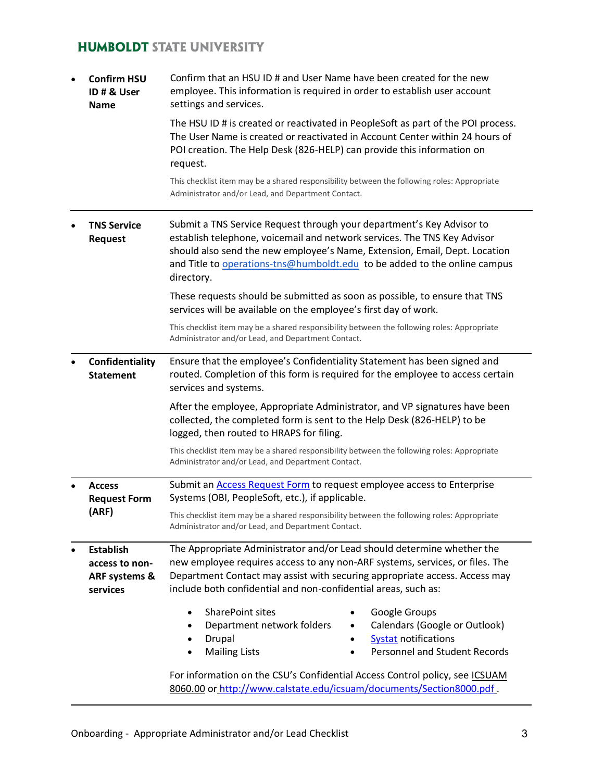| $\bullet$ | <b>Confirm HSU</b><br>ID # & User<br><b>Name</b>                           | Confirm that an HSU ID # and User Name have been created for the new<br>employee. This information is required in order to establish user account<br>settings and services.                                                                                                                                                |
|-----------|----------------------------------------------------------------------------|----------------------------------------------------------------------------------------------------------------------------------------------------------------------------------------------------------------------------------------------------------------------------------------------------------------------------|
|           |                                                                            | The HSU ID # is created or reactivated in PeopleSoft as part of the POI process.<br>The User Name is created or reactivated in Account Center within 24 hours of<br>POI creation. The Help Desk (826-HELP) can provide this information on<br>request.                                                                     |
|           |                                                                            | This checklist item may be a shared responsibility between the following roles: Appropriate<br>Administrator and/or Lead, and Department Contact.                                                                                                                                                                          |
|           | <b>TNS Service</b><br><b>Request</b>                                       | Submit a TNS Service Request through your department's Key Advisor to<br>establish telephone, voicemail and network services. The TNS Key Advisor<br>should also send the new employee's Name, Extension, Email, Dept. Location<br>and Title to operations-tns@humboldt.edu to be added to the online campus<br>directory. |
|           |                                                                            | These requests should be submitted as soon as possible, to ensure that TNS<br>services will be available on the employee's first day of work.                                                                                                                                                                              |
|           |                                                                            | This checklist item may be a shared responsibility between the following roles: Appropriate<br>Administrator and/or Lead, and Department Contact.                                                                                                                                                                          |
|           | Confidentiality<br><b>Statement</b>                                        | Ensure that the employee's Confidentiality Statement has been signed and<br>routed. Completion of this form is required for the employee to access certain<br>services and systems.                                                                                                                                        |
|           |                                                                            | After the employee, Appropriate Administrator, and VP signatures have been<br>collected, the completed form is sent to the Help Desk (826-HELP) to be<br>logged, then routed to HRAPS for filing.                                                                                                                          |
|           |                                                                            | This checklist item may be a shared responsibility between the following roles: Appropriate<br>Administrator and/or Lead, and Department Contact.                                                                                                                                                                          |
|           | <b>Access</b><br><b>Request Form</b>                                       | Submit an <b>Access Request Form</b> to request employee access to Enterprise<br>Systems (OBI, PeopleSoft, etc.), if applicable.                                                                                                                                                                                           |
|           | (ARF)                                                                      | This checklist item may be a shared responsibility between the following roles: Appropriate<br>Administrator and/or Lead, and Department Contact.                                                                                                                                                                          |
|           | <b>Establish</b><br>access to non-<br><b>ARF systems &amp;</b><br>services | The Appropriate Administrator and/or Lead should determine whether the<br>new employee requires access to any non-ARF systems, services, or files. The<br>Department Contact may assist with securing appropriate access. Access may<br>include both confidential and non-confidential areas, such as:                     |
|           |                                                                            | SharePoint sites<br>Google Groups<br>$\bullet$<br>Calendars (Google or Outlook)<br>Department network folders<br>$\bullet$<br>Drupal<br><b>Systat notifications</b><br>$\bullet$<br><b>Personnel and Student Records</b><br><b>Mailing Lists</b>                                                                           |
|           |                                                                            | For information on the CSU's Confidential Access Control policy, see ICSUAM<br>8060.00 or http://www.calstate.edu/icsuam/documents/Section8000.pdf.                                                                                                                                                                        |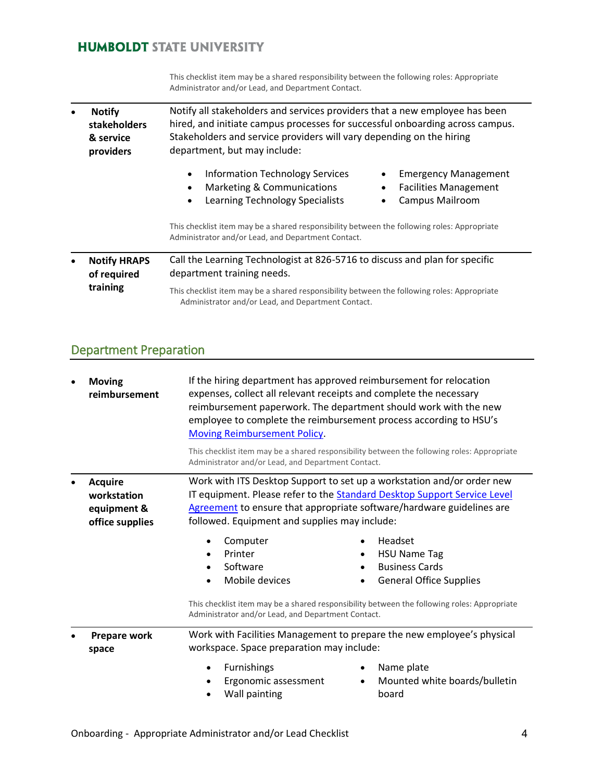This checklist item may be a shared responsibility between the following roles: Appropriate Administrator and/or Lead, and Department Contact.

| $\bullet$ | <b>Notify</b><br>stakeholders<br>& service<br>providers | Notify all stakeholders and services providers that a new employee has been<br>hired, and initiate campus processes for successful onboarding across campus.<br>Stakeholders and service providers will vary depending on the hiring<br>department, but may include: |  |  |
|-----------|---------------------------------------------------------|----------------------------------------------------------------------------------------------------------------------------------------------------------------------------------------------------------------------------------------------------------------------|--|--|
|           |                                                         | <b>Information Technology Services</b><br><b>Emergency Management</b><br>Marketing & Communications<br><b>Facilities Management</b><br>Learning Technology Specialists<br><b>Campus Mailroom</b>                                                                     |  |  |
|           |                                                         | This checklist item may be a shared responsibility between the following roles: Appropriate<br>Administrator and/or Lead, and Department Contact.                                                                                                                    |  |  |
| $\bullet$ | <b>Notify HRAPS</b><br>of required<br>training          | Call the Learning Technologist at 826-5716 to discuss and plan for specific<br>department training needs.                                                                                                                                                            |  |  |
|           |                                                         | This checklist item may be a shared responsibility between the following roles: Appropriate<br>Administrator and/or Lead, and Department Contact.                                                                                                                    |  |  |

# Department Preparation

| $\bullet$ | <b>Moving</b><br>reimbursement                                  | If the hiring department has approved reimbursement for relocation<br>expenses, collect all relevant receipts and complete the necessary<br>reimbursement paperwork. The department should work with the new<br>employee to complete the reimbursement process according to HSU's<br><b>Moving Reimbursement Policy.</b> |                                                                                                                                                                                                                                                                                                                                                                                                                         |
|-----------|-----------------------------------------------------------------|--------------------------------------------------------------------------------------------------------------------------------------------------------------------------------------------------------------------------------------------------------------------------------------------------------------------------|-------------------------------------------------------------------------------------------------------------------------------------------------------------------------------------------------------------------------------------------------------------------------------------------------------------------------------------------------------------------------------------------------------------------------|
|           |                                                                 | Administrator and/or Lead, and Department Contact.                                                                                                                                                                                                                                                                       | This checklist item may be a shared responsibility between the following roles: Appropriate                                                                                                                                                                                                                                                                                                                             |
|           | <b>Acquire</b><br>workstation<br>equipment &<br>office supplies | followed. Equipment and supplies may include:<br>Computer<br>٠<br>Printer<br>٠<br>Software<br>$\bullet$<br>Mobile devices<br>$\bullet$<br>Administrator and/or Lead, and Department Contact.                                                                                                                             | Work with ITS Desktop Support to set up a workstation and/or order new<br>IT equipment. Please refer to the Standard Desktop Support Service Level<br>Agreement to ensure that appropriate software/hardware guidelines are<br>Headset<br><b>HSU Name Tag</b><br><b>Business Cards</b><br><b>General Office Supplies</b><br>This checklist item may be a shared responsibility between the following roles: Appropriate |
|           | <b>Prepare work</b><br>space                                    | workspace. Space preparation may include:<br>Furnishings<br>$\bullet$<br>Ergonomic assessment<br>Wall painting                                                                                                                                                                                                           | Work with Facilities Management to prepare the new employee's physical<br>Name plate<br>٠<br>Mounted white boards/bulletin<br>٠<br>board                                                                                                                                                                                                                                                                                |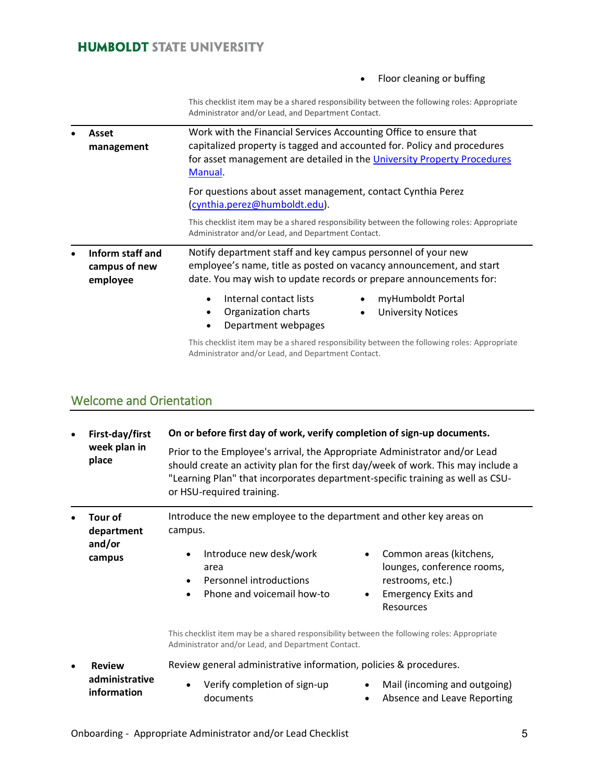#### • Floor cleaning or buffing

This checklist item may be a shared responsibility between the following roles: Appropriate Administrator and/or Lead, and Department Contact.

| Asset<br>management                           | Work with the Financial Services Accounting Office to ensure that<br>capitalized property is tagged and accounted for. Policy and procedures<br>for asset management are detailed in the University Property Procedures<br>Manual. |  |
|-----------------------------------------------|------------------------------------------------------------------------------------------------------------------------------------------------------------------------------------------------------------------------------------|--|
|                                               | For questions about asset management, contact Cynthia Perez<br>(cynthia.perez@humboldt.edu).                                                                                                                                       |  |
|                                               | This checklist item may be a shared responsibility between the following roles: Appropriate<br>Administrator and/or Lead, and Department Contact.                                                                                  |  |
| Inform staff and<br>campus of new<br>employee | Notify department staff and key campus personnel of your new<br>employee's name, title as posted on vacancy announcement, and start<br>date. You may wish to update records or prepare announcements for:                          |  |
|                                               | Internal contact lists<br>myHumboldt Portal<br>Organization charts<br><b>University Notices</b><br>٠<br>Department webpages<br>٠                                                                                                   |  |
|                                               | This checklist item may be a shared responsibility between the following roles: Appropriate<br>Administrator and/or Lead, and Department Contact.                                                                                  |  |

# Welcome and Orientation

| $\bullet$ | First-day/first<br>week plan in<br>place  | On or before first day of work, verify completion of sign-up documents.                                                                                                                                                                                                                |                                                                                                                             |
|-----------|-------------------------------------------|----------------------------------------------------------------------------------------------------------------------------------------------------------------------------------------------------------------------------------------------------------------------------------------|-----------------------------------------------------------------------------------------------------------------------------|
|           |                                           | Prior to the Employee's arrival, the Appropriate Administrator and/or Lead<br>should create an activity plan for the first day/week of work. This may include a<br>"Learning Plan" that incorporates department-specific training as well as CSU-<br>or HSU-required training.         |                                                                                                                             |
|           | Tour of<br>department<br>and/or<br>campus | Introduce the new employee to the department and other key areas on<br>campus.<br>Introduce new desk/work<br>area<br>Personnel introductions<br>$\bullet$<br>Phone and voicemail how-to<br>This checklist item may be a shared responsibility between the following roles: Appropriate | Common areas (kitchens,<br>lounges, conference rooms,<br>restrooms, etc.)<br><b>Emergency Exits and</b><br><b>Resources</b> |
|           |                                           | Administrator and/or Lead, and Department Contact.                                                                                                                                                                                                                                     |                                                                                                                             |
| $\bullet$ | <b>Review</b>                             | Review general administrative information, policies & procedures.                                                                                                                                                                                                                      |                                                                                                                             |
|           | administrative<br>information             | Verify completion of sign-up<br>documents                                                                                                                                                                                                                                              | Mail (incoming and outgoing)<br>$\bullet$<br>Absence and Leave Reporting                                                    |